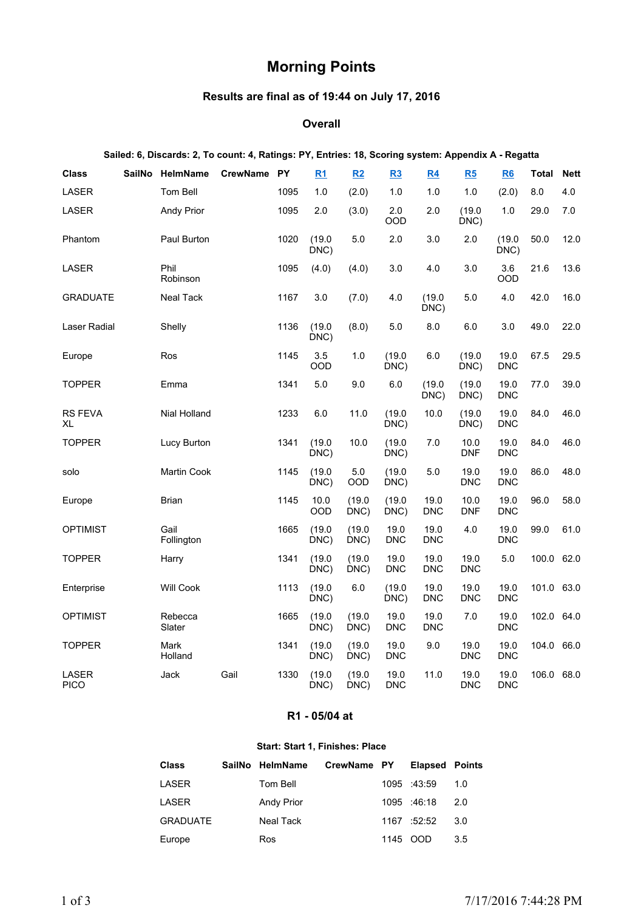# **Morning Points**

# **Results are final as of 19:44 on July 17, 2016**

#### **Overall**

# **Sailed: 6, Discards: 2, To count: 4, Ratings: PY, Entries: 18, Scoring system: Appendix A - Regatta**

| <b>Class</b>         | <b>SailNo</b> | HelmName           | <b>CrewName</b> | <b>PY</b> | R1             | R2             | R3                 | R4                 | R5                 | R6                 | Total      | <b>Nett</b> |
|----------------------|---------------|--------------------|-----------------|-----------|----------------|----------------|--------------------|--------------------|--------------------|--------------------|------------|-------------|
| <b>LASER</b>         |               | Tom Bell           |                 | 1095      | 1.0            | (2.0)          | 1.0                | 1.0                | 1.0                | (2.0)              | 8.0        | 4.0         |
| LASER                |               | <b>Andy Prior</b>  |                 | 1095      | 2.0            | (3.0)          | 2.0<br>OOD         | 2.0                | (19.0)<br>DNC)     | 1.0                | 29.0       | 7.0         |
| Phantom              |               | Paul Burton        |                 | 1020      | (19.0)<br>DNC) | 5.0            | 2.0                | 3.0                | 2.0                | (19.0)<br>DNC)     | 50.0       | 12.0        |
| LASER                |               | Phil<br>Robinson   |                 | 1095      | (4.0)          | (4.0)          | 3.0                | 4.0                | 3.0                | 3.6<br><b>OOD</b>  | 21.6       | 13.6        |
| <b>GRADUATE</b>      |               | Neal Tack          |                 | 1167      | 3.0            | (7.0)          | 4.0                | (19.0)<br>DNC)     | 5.0                | 4.0                | 42.0       | 16.0        |
| Laser Radial         |               | Shelly             |                 | 1136      | (19.0)<br>DNC) | (8.0)          | 5.0                | 8.0                | 6.0                | 3.0                | 49.0       | 22.0        |
| Europe               |               | Ros                |                 | 1145      | 3.5<br>OOD     | 1.0            | (19.0)<br>DNC)     | 6.0                | (19.0)<br>DNC)     | 19.0<br><b>DNC</b> | 67.5       | 29.5        |
| <b>TOPPER</b>        |               | Emma               |                 | 1341      | 5.0            | 9.0            | 6.0                | (19.0)<br>DNC)     | (19.0)<br>DNC)     | 19.0<br><b>DNC</b> | 77.0       | 39.0        |
| <b>RS FEVA</b><br>XL |               | Nial Holland       |                 | 1233      | 6.0            | 11.0           | (19.0)<br>DNC)     | 10.0               | (19.0)<br>DNC)     | 19.0<br><b>DNC</b> | 84.0       | 46.0        |
| <b>TOPPER</b>        |               | Lucy Burton        |                 | 1341      | (19.0)<br>DNC) | 10.0           | (19.0)<br>DNC)     | 7.0                | 10.0<br><b>DNF</b> | 19.0<br><b>DNC</b> | 84.0       | 46.0        |
| solo                 |               | Martin Cook        |                 | 1145      | (19.0)<br>DNC) | $5.0\,$<br>OOD | (19.0)<br>DNC)     | 5.0                | 19.0<br><b>DNC</b> | 19.0<br><b>DNC</b> | 86.0       | 48.0        |
| Europe               |               | Brian              |                 | 1145      | 10.0<br>OOD    | (19.0)<br>DNC) | (19.0)<br>DNC)     | 19.0<br><b>DNC</b> | 10.0<br><b>DNF</b> | 19.0<br><b>DNC</b> | 96.0       | 58.0        |
| <b>OPTIMIST</b>      |               | Gail<br>Follington |                 | 1665      | (19.0)<br>DNC) | (19.0)<br>DNC) | 19.0<br><b>DNC</b> | 19.0<br><b>DNC</b> | 4.0                | 19.0<br><b>DNC</b> | 99.0       | 61.0        |
| <b>TOPPER</b>        |               | Harry              |                 | 1341      | (19.0)<br>DNC) | (19.0)<br>DNC) | 19.0<br><b>DNC</b> | 19.0<br><b>DNC</b> | 19.0<br><b>DNC</b> | $5.0\,$            | 100.0      | 62.0        |
| Enterprise           |               | <b>Will Cook</b>   |                 | 1113      | (19.0)<br>DNC) | 6.0            | (19.0)<br>DNC)     | 19.0<br><b>DNC</b> | 19.0<br><b>DNC</b> | 19.0<br><b>DNC</b> | 101.0 63.0 |             |
| <b>OPTIMIST</b>      |               | Rebecca<br>Slater  |                 | 1665      | (19.0)<br>DNC) | (19.0)<br>DNC) | 19.0<br><b>DNC</b> | 19.0<br>DNC        | 7.0                | 19.0<br><b>DNC</b> | 102.0 64.0 |             |
| <b>TOPPER</b>        |               | Mark<br>Holland    |                 | 1341      | (19.0)<br>DNC) | (19.0)<br>DNC) | 19.0<br><b>DNC</b> | 9.0                | 19.0<br><b>DNC</b> | 19.0<br><b>DNC</b> | 104.0      | 66.0        |
| LASER<br><b>PICO</b> |               | Jack               | Gail            | 1330      | (19.0)<br>DNC) | (19.0)<br>DNC) | 19.0<br><b>DNC</b> | 11.0               | 19.0<br><b>DNC</b> | 19.0<br><b>DNC</b> | 106.0      | 68.0        |

### **R1 - 05/04 at**

#### **Start: Start 1, Finishes: Place**

| <b>Class</b>    | SailNo HelmName   | CrewName PY |          | <b>Elapsed Points</b> |     |
|-----------------|-------------------|-------------|----------|-----------------------|-----|
| LASER           | Tom Bell          |             |          | 1095 :43:59           | 1.0 |
| LASER           | <b>Andy Prior</b> |             |          | 1095 :46:18           | 2.0 |
| <b>GRADUATE</b> | Neal Tack         |             |          | 1167 :52:52           | 3.0 |
| Europe          | Ros               |             | 1145 OOD |                       | 3.5 |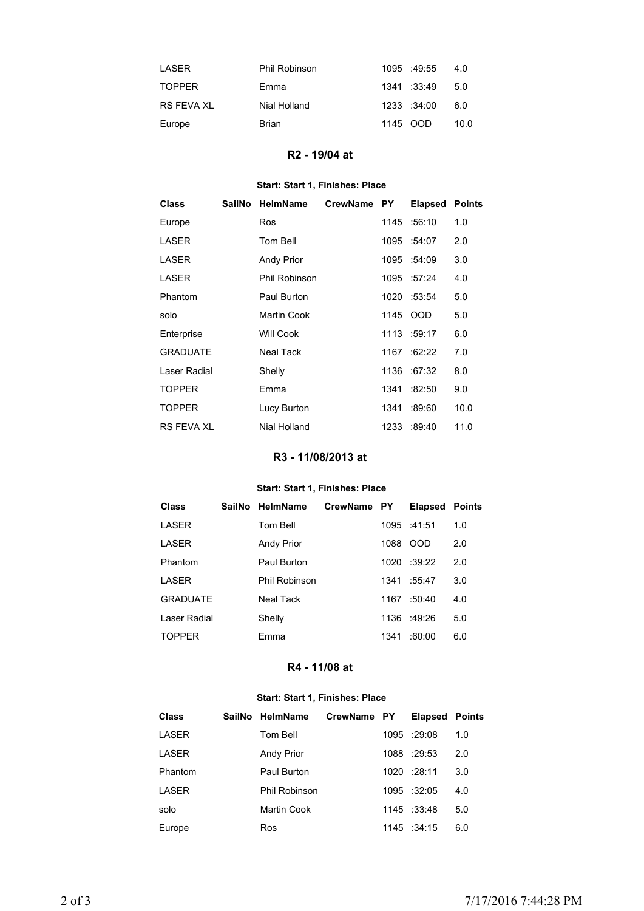| I ASFR        | Phil Robinson | 1095 :49:55 | 4.0  |
|---------------|---------------|-------------|------|
| <b>TOPPER</b> | Emma          | 1341 :33:49 | 5.0  |
| RS FFVA XI    | Nial Holland  | 1233 :34:00 | 6.0  |
| Europe        | Brian         | 1145 OOD    | 10.0 |

# **R2 - 19/04 at**

## **Start: Start 1, Finishes: Place**

| <b>Class</b>      | SailNo | HelmName          | <b>CrewName</b> | <b>PY</b> | <b>Elapsed</b> | <b>Points</b> |
|-------------------|--------|-------------------|-----------------|-----------|----------------|---------------|
| Europe            |        | <b>Ros</b>        |                 |           | 1145 :56:10    | 1.0           |
| LASER             |        | Tom Bell          |                 |           | 1095 :54:07    | 2.0           |
| LASER             |        | <b>Andy Prior</b> |                 |           | 1095 :54:09    | 3.0           |
| LASER             |        | Phil Robinson     |                 |           | 1095 :57:24    | 4.0           |
| Phantom           |        | Paul Burton       |                 |           | 1020 :53:54    | 5.0           |
| solo              |        | Martin Cook       |                 |           | 1145 OOD       | 5.0           |
| Enterprise        |        | <b>Will Cook</b>  |                 |           | 1113 :59:17    | 6.0           |
| <b>GRADUATE</b>   |        | <b>Neal Tack</b>  |                 | 1167      | :62:22         | 7.0           |
| Laser Radial      |        | Shelly            |                 | 1136      | :67:32         | 8.0           |
| <b>TOPPER</b>     |        | Emma              |                 | 1341      | :82:50         | 9.0           |
| <b>TOPPER</b>     |        | Lucy Burton       |                 | 1341      | :89.60         | 10.0          |
| <b>RS FEVA XL</b> |        | Nial Holland      |                 | 1233      | :89:40         | 11.0          |

# **R3 - 11/08/2013 at**

### **Start: Start 1, Finishes: Place**

| <b>Class</b>    | SailNo HelmName   | CrewName PY |      | <b>Elapsed Points</b> |     |
|-----------------|-------------------|-------------|------|-----------------------|-----|
| LASER           | Tom Bell          |             |      | 1095 :41:51           | 1.0 |
| LASER           | <b>Andy Prior</b> |             | 1088 | <b>OOD</b>            | 2.0 |
| Phantom         | Paul Burton       |             |      | $1020 \div 39.22$     | 2.0 |
| LASER           | Phil Robinson     |             | 1341 | :55:47                | 3.0 |
| <b>GRADUATE</b> | Neal Tack         |             | 1167 | :50:40                | 4.0 |
| Laser Radial    | Shelly            |             |      | $1136 + 49.26$        | 5.0 |
| <b>TOPPER</b>   | Emma              |             | 1341 | :60:00                | 6.0 |

# **R4 - 11/08 at**

### **Start: Start 1, Finishes: Place**

| <b>Class</b> | SailNo HelmName   | CrewName PY | <b>Elapsed Points</b> |     |
|--------------|-------------------|-------------|-----------------------|-----|
| LASER        | Tom Bell          |             | 1095 :29:08           | 1.0 |
| LASER        | <b>Andy Prior</b> |             | 1088 :29:53           | 2.0 |
| Phantom      | Paul Burton       |             | 1020 :28:11           | 3.0 |
| LASER        | Phil Robinson     |             | 1095 :32:05           | 4.0 |
| solo         | Martin Cook       |             | 1145 :33:48           | 5.0 |
| Europe       | Ros               |             | 1145 : 34:15          | 6.0 |